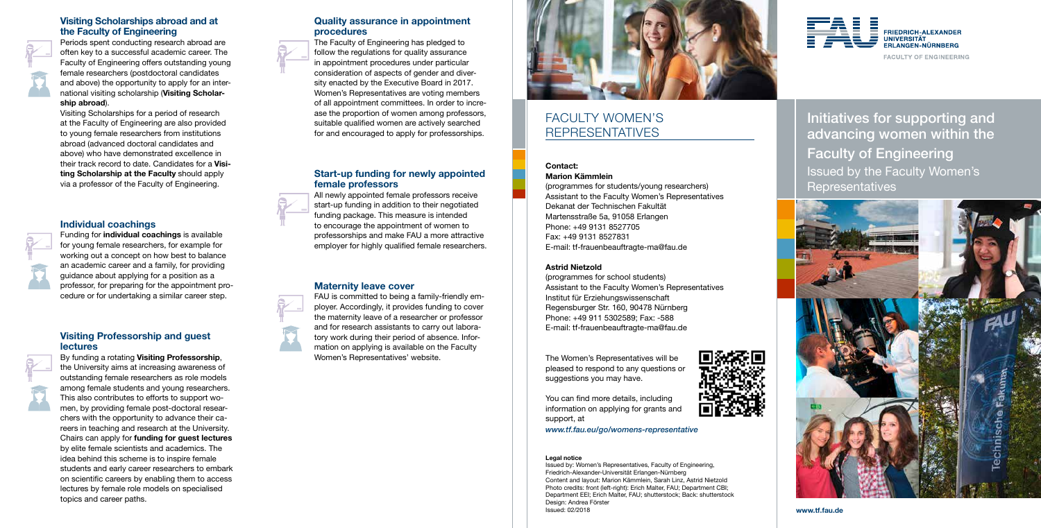www.tf.fau.de

# Initiatives for supporting and advancing women within the Faculty of Engineering Issued by the Faculty Women's Representatives



#### Quality assurance in appointment procedures

The Faculty of Engineering has pledged to follow the regulations for quality assurance in appointment procedures under particular consideration of aspects of gender and diversity enacted by the Executive Board in 2017. Women's Representatives are voting members of all appointment committees. In order to incre ase the proportion of women among professors, suitable qualified women are actively searched for and encouraged to apply for professorships.

#### Start-up funding for newly appointed female professors

All newly appointed female professors receive start-up funding in addition to their negotiated funding package. This measure is intended to encourage the appointment of women to professorships and make FAU a more attractive employer for highly qualified female researchers.

#### Maternity leave cover

FAU is committed to being a family-friendly em ployer. Accordingly, it provides funding to cover the maternity leave of a researcher or professor and for research assistants to carry out labora tory work during their period of absence. Information on applying is available on the Faculty Women's Representatives' website.



# FACULTY WOMEN'S REPRESENTATIVES

#### Contact: Marion Kämmlein

(programmes for students/young researchers) Assistant to the Faculty Women's Representatives Dekanat der Technischen Fakultät Martensstraße 5a, 91058 Erlangen Phone: +49 9131 8527705 Fax: +49 9131 8527831 E-mail: tf-frauenbeauftragte-ma@fau.de

#### Astrid Nietzold

(programmes for school students) Assistant to the Faculty Women's Representatives Institut für Erziehungswissenschaft Regensburger Str. 160, 90478 Nürnberg Phone: +49 911 5302589; Fax: -588 E-mail: tf-frauenbeauftragte-ma@fau.de

The Women's Representatives will be pleased to respond to any questions or suggestions you may have.



You can find more details, including information on applying for grants and support, at

*www.tf.fau.eu/go/womens-representative*

#### Legal notice

By funding a rotating Visiting Professorship, the University aims at increasing awareness of outstanding female researchers as role models among female students and young researchers. This also contributes to efforts to support wo men, by providing female post-doctoral researchers with the opportunity to advance their careers in teaching and research at the University. Chairs can apply for funding for guest lectures by elite female scientists and academics. The idea behind this scheme is to inspire female students and early career researchers to embark on scientific careers by enabling them to access lectures by female role models on specialised topics and career paths.

Issued by: Women's Representatives, Faculty of Engineering, Friedrich-Alexander-Universität Erlangen-Nürnberg Content and layout: Marion Kämmlein, Sarah Linz, Astrid Nietzold Photo credits: front (left-right): Erich Malter, FAU; Department CBI; Department EEI; Erich Malter, FAU; shutterstock; Back: shutterstock Design: Andrea Förster Issued: 02/2018



**FACULTY OF ENGINEERING** 

#### Visiting Scholarships abroad and at the Faculty of Engineering

Periods spent conducting research abroad are often key to a successful academic career. The Faculty of Engineering offers outstanding young female researchers (postdoctoral candidates and above) the opportunity to apply for an international visiting scholarship (Visiting Scholarship abroad).

Visiting Scholarships for a period of research at the Faculty of Engineering are also provided to young female researchers from institutions abroad (advanced doctoral candidates and above) who have demonstrated excellence in their track record to date. Candidates for a Visiting Scholarship at the Faculty should apply via a professor of the Faculty of Engineering.

### Individual coachings

Funding for individual coachings is available for young female researchers, for example for working out a concept on how best to balance an academic career and a family, for providing guidance about applying for a position as a professor, for preparing for the appointment pro cedure or for undertaking a similar career step.

#### Visiting Professorship and guest lectures